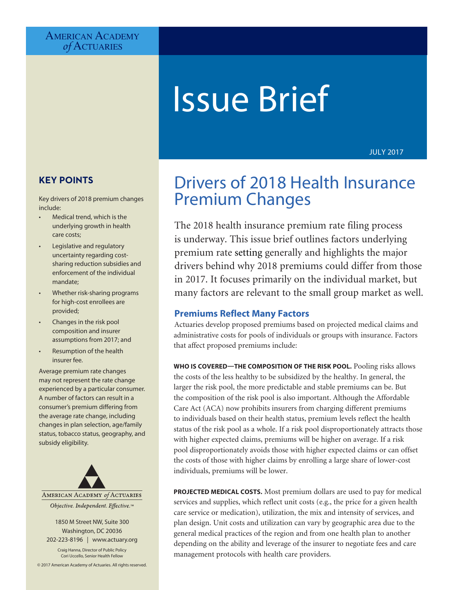# **AMERICAN ACADEMY** *of* Actuaries

# Issue Brief

JULY 2017

# **KEY POINTS**

Key drivers of 2018 premium changes include:

- Medical trend, which is the underlying growth in health care costs;
- Legislative and regulatory uncertainty regarding costsharing reduction subsidies and enforcement of the individual mandate;
- Whether risk-sharing programs for high-cost enrollees are provided;
- Changes in the risk pool composition and insurer assumptions from 2017; and
- Resumption of the health insurer fee.

Average premium rate changes may not represent the rate change experienced by a particular consumer. A number of factors can result in a consumer's premium differing from the average rate change, including changes in plan selection, age/family status, tobacco status, geography, and subsidy eligibility.



1850 M Street NW, Suite 300 Washington, DC 20036 202-223-8196 | [www.actuary.org](http://www.actuary.org)

Craig Hanna, Director of Public Policy Cori Uccello, Senior Health Fellow

© 2017 American Academy of Actuaries. All rights reserved.

# Drivers of 2018 Health Insurance Premium Changes

The 2018 health insurance premium rate filing process is underway. This issue brief outlines factors underlying premium rate setting generally and highlights the major drivers behind why 2018 premiums could differ from those in 2017. It focuses primarily on the individual market, but many factors are relevant to the small group market as well.

# **Premiums Reflect Many Factors**

Actuaries develop proposed premiums based on projected medical claims and administrative costs for pools of individuals or groups with insurance. Factors that affect proposed premiums include:

**WHO IS COVERED—THE COMPOSITION OF THE RISK POOL.** Pooling risks allows the costs of the less healthy to be subsidized by the healthy. In general, the larger the risk pool, the more predictable and stable premiums can be. But the composition of the risk pool is also important. Although the Affordable Care Act (ACA) now prohibits insurers from charging different premiums to individuals based on their health status, premium levels reflect the health status of the risk pool as a whole. If a risk pool disproportionately attracts those with higher expected claims, premiums will be higher on average. If a risk pool disproportionately avoids those with higher expected claims or can offset the costs of those with higher claims by enrolling a large share of lower-cost individuals, premiums will be lower.

**PROJECTED MEDICAL COSTS.** Most premium dollars are used to pay for medical services and supplies, which reflect unit costs (e.g., the price for a given health care service or medication), utilization, the mix and intensity of services, and plan design. Unit costs and utilization can vary by geographic area due to the general medical practices of the region and from one health plan to another depending on the ability and leverage of the insurer to negotiate fees and care management protocols with health care providers.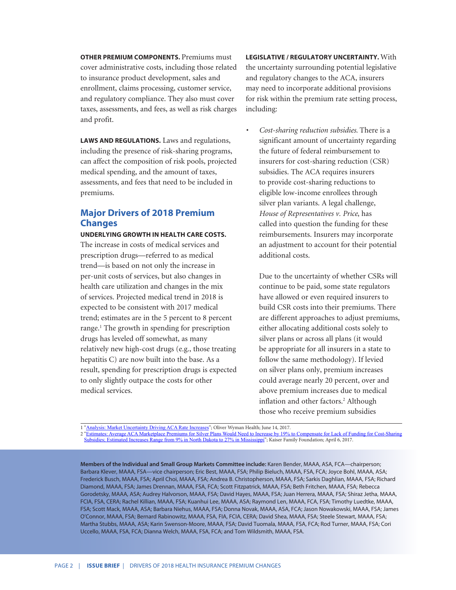**OTHER PREMIUM COMPONENTS. Premiums must** cover administrative costs, including those related to insurance product development, sales and enrollment, claims processing, customer service, and regulatory compliance. They also must cover taxes, assessments, and fees, as well as risk charges and profit.

**LAWS AND REGULATIONS.** Laws and regulations, including the presence of risk-sharing programs, can affect the composition of risk pools, projected medical spending, and the amount of taxes, assessments, and fees that need to be included in premiums.

# **Major Drivers of 2018 Premium Changes**

**UNDERLYING GROWTH IN HEALTH CARE COSTS.** The increase in costs of medical services and prescription drugs—referred to as medical trend—is based on not only the increase in per-unit costs of services, but also changes in health care utilization and changes in the mix of services. Projected medical trend in 2018 is expected to be consistent with 2017 medical trend; estimates are in the 5 percent to 8 percent range.<sup>1</sup> The growth in spending for prescription drugs has leveled off somewhat, as many relatively new high-cost drugs (e.g., those treating hepatitis C) are now built into the base. As a result, spending for prescription drugs is expected to only slightly outpace the costs for other medical services.

**LEGISLATIVE / REGULATORY UNCERTAINTY.** With the uncertainty surrounding potential legislative and regulatory changes to the ACA, insurers may need to incorporate additional provisions for risk within the premium rate setting process, including:

*• Cost-sharing reduction subsidies.* There is a significant amount of uncertainty regarding the future of federal reimbursement to insurers for cost-sharing reduction (CSR) subsidies. The ACA requires insurers to provide cost-sharing reductions to eligible low-income enrollees through silver plan variants. A legal challenge, *House of Representatives v. Price*, has called into question the funding for these reimbursements. Insurers may incorporate an adjustment to account for their potential additional costs.

Due to the uncertainty of whether CSRs will continue to be paid, some state regulators have allowed or even required insurers to build CSR costs into their premiums. There are different approaches to adjust premiums, either allocating additional costs solely to silver plans or across all plans (it would be appropriate for all insurers in a state to follow the same methodology). If levied on silver plans only, premium increases could average nearly 20 percent, over and above premium increases due to medical inflation and other factors.<sup>2</sup> Although those who receive premium subsidies

1 "[Analysis: Market Uncertainty Driving ACA Rate Increases](http://health.oliverwyman.com/transform-care/2017/06/analysis_market_unc.html)"; Oliver Wyman Health; June 14, 2017.

2 "[Estimates: Average ACA Marketplace Premiums for Silver Plans Would Need to Increase by 19% to Compensate for Lack of Funding for Cost-Sharing](http://www.kff.org/health-reform/press-release/estimates-average-aca-marketplace-premiums-for-silver-plans-would-need-to-increase-by-19-to-compensate-for-lack-of-funding-for-cost-sharing-subsidies/)  [Subsidies; Estimated Increases Range from 9% in North Dakota to 27% in Mississippi](http://www.kff.org/health-reform/press-release/estimates-average-aca-marketplace-premiums-for-silver-plans-would-need-to-increase-by-19-to-compensate-for-lack-of-funding-for-cost-sharing-subsidies/)"; Kaiser Family Foundation; April 6, 2017.

**Members of the Individual and Small Group Markets Committee include:** Karen Bender, MAAA, ASA, FCA—chairperson; Barbara Klever, MAAA, FSA—vice chairperson; Eric Best, MAAA, FSA; Philip Bieluch, MAAA, FSA, FCA; Joyce Bohl, MAAA, ASA; Frederick Busch, MAAA, FSA; April Choi, MAAA, FSA; Andrea B. Christopherson, MAAA, FSA; Sarkis Daghlian, MAAA, FSA; Richard Diamond, MAAA, FSA; James Drennan, MAAA, FSA, FCA; Scott Fitzpatrick, MAAA, FSA; Beth Fritchen, MAAA, FSA; Rebecca Gorodetsky, MAAA, ASA; Audrey Halvorson, MAAA, FSA; David Hayes, MAAA, FSA; Juan Herrera, MAAA, FSA; Shiraz Jetha, MAAA, FCIA, FSA, CERA; Rachel Killian, MAAA, FSA; Kuanhui Lee, MAAA, ASA; Raymond Len, MAAA, FCA, FSA; Timothy Luedtke, MAAA, FSA; Scott Mack, MAAA, ASA; Barbara Niehus, MAAA, FSA; Donna Novak, MAAA, ASA, FCA; Jason Nowakowski, MAAA, FSA; James O'Connor, MAAA, FSA; Bernard Rabinowitz, MAAA, FSA, FIA, FCIA, CERA; David Shea, MAAA, FSA; Steele Stewart, MAAA, FSA; Martha Stubbs, MAAA, ASA; Karin Swenson-Moore, MAAA, FSA; David Tuomala, MAAA, FSA, FCA; Rod Turner, MAAA, FSA; Cori Uccello, MAAA, FSA, FCA; Dianna Welch, MAAA, FSA, FCA; and Tom Wildsmith, MAAA, FSA.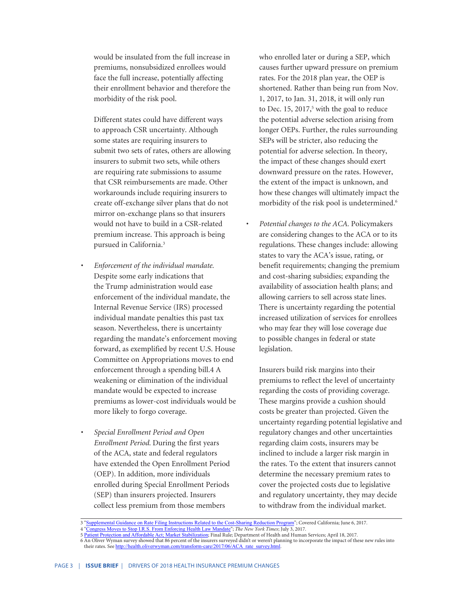would be insulated from the full increase in premiums, nonsubsidized enrollees would face the full increase, potentially affecting their enrollment behavior and therefore the morbidity of the risk pool.

Different states could have different ways to approach CSR uncertainty. Although some states are requiring insurers to submit two sets of rates, others are allowing insurers to submit two sets, while others are requiring rate submissions to assume that CSR reimbursements are made. Other workarounds include requiring insurers to create off-exchange silver plans that do not mirror on-exchange plans so that insurers would not have to build in a CSR-related premium increase. This approach is being pursued in California.3

- *• Enforcement of the individual mandate.* Despite some early indications that the Trump administration would ease enforcement of the individual mandate, the Internal Revenue Service (IRS) processed individual mandate penalties this past tax season. Nevertheless, there is uncertainty regarding the mandate's enforcement moving forward, as exemplified by recent U.S. House Committee on Appropriations moves to end enforcement through a spending bill.4 A weakening or elimination of the individual mandate would be expected to increase premiums as lower-cost individuals would be more likely to forgo coverage.
- *• Special Enrollment Period and Open Enrollment Period.* During the first years of the ACA, state and federal regulators have extended the Open Enrollment Period (OEP). In addition, more individuals enrolled during Special Enrollment Periods (SEP) than insurers projected. Insurers collect less premium from those members

who enrolled later or during a SEP, which causes further upward pressure on premium rates. For the 2018 plan year, the OEP is shortened. Rather than being run from Nov. 1, 2017, to Jan. 31, 2018, it will only run to Dec. 15, 2017,<sup>5</sup> with the goal to reduce the potential adverse selection arising from longer OEPs. Further, the rules surrounding SEPs will be stricter, also reducing the potential for adverse selection. In theory, the impact of these changes should exert downward pressure on the rates. However, the extent of the impact is unknown, and how these changes will ultimately impact the morbidity of the risk pool is undetermined.<sup>6</sup>

*• Potential changes to the ACA.* Policymakers are considering changes to the ACA or to its regulations. These changes include: allowing states to vary the ACA's issue, rating, or benefit requirements; changing the premium and cost-sharing subsidies; expanding the availability of association health plans; and allowing carriers to sell across state lines. There is uncertainty regarding the potential increased utilization of services for enrollees who may fear they will lose coverage due to possible changes in federal or state legislation.

Insurers build risk margins into their premiums to reflect the level of uncertainty regarding the costs of providing coverage. These margins provide a cushion should costs be greater than projected. Given the uncertainty regarding potential legislative and regulatory changes and other uncertainties regarding claim costs, insurers may be inclined to include a larger risk margin in the rates. To the extent that insurers cannot determine the necessary premium rates to cover the projected costs due to legislative and regulatory uncertainty, they may decide to withdraw from the individual market.

<sup>3 &</sup>quot;[Supplemental Guidance on Rate Filing Instructions Related to the Cost-Sharing Reduction Program](http://board.coveredca.com/meetings/2017/06-15/Background/Covered-CA-CSR%20Supplemental%20Rate%20Filing%20Instructions%206-6-17.pdf)"; Covered California; June 6, 2017.

<sup>4 &</sup>quot;[Congress Moves to Stop I.R.S. From Enforcing Health Law Mandate](https://www.nytimes.com/2017/07/03/us/politics/congress-moves-to-stop-irs-from-enforcing-health-law-mandate.html)"; *The New York Times*; July 3, 2017.

<sup>5</sup> [Patient Protection and Affordable Act; Market Stabilization](https://www.gpo.gov/fdsys/pkg/FR-2017-04-18/pdf/2017-07712.pdf); Final Rule; Department of Health and Human Services; April 18, 2017.

<sup>6</sup> An Oliver Wyman survey showed that 86 percent of the insurers surveyed didn't or weren't planning to incorporate the impact of these new rules into their rates. See [http://health.oliverwyman.com/transform-care/2017/06/ACA\\_rate\\_survey.html.](http://health.oliverwyman.com/transform-care/2017/06/ACA_rate_survey.html)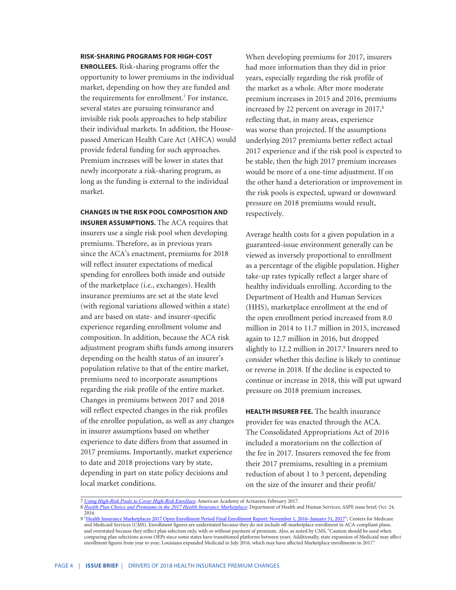#### **RISK-SHARING PROGRAMS FOR HIGH-COST**

**ENROLLEES.** Risk-sharing programs offer the opportunity to lower premiums in the individual market, depending on how they are funded and the requirements for enrollment.7 For instance, several states are pursuing reinsurance and invisible risk pools approaches to help stabilize their individual markets. In addition, the Housepassed American Health Care Act (AHCA) would provide federal funding for such approaches. Premium increases will be lower in states that newly incorporate a risk-sharing program, as long as the funding is external to the individual market.

**CHANGES IN THE RISK POOL COMPOSITION AND INSURER ASSUMPTIONS.** The ACA requires that insurers use a single risk pool when developing premiums. Therefore, as in previous years since the ACA's enactment, premiums for 2018 will reflect insurer expectations of medical spending for enrollees both inside and outside of the marketplace (i.e., exchanges). Health

insurance premiums are set at the state level (with regional variations allowed within a state) and are based on state- and insurer-specific experience regarding enrollment volume and composition. In addition, because the ACA risk adjustment program shifts funds among insurers depending on the health status of an insurer's population relative to that of the entire market, premiums need to incorporate assumptions regarding the risk profile of the entire market. Changes in premiums between 2017 and 2018 will reflect expected changes in the risk profiles of the enrollee population, as well as any changes in insurer assumptions based on whether experience to date differs from that assumed in 2017 premiums. Importantly, market experience to date and 2018 projections vary by state, depending in part on state policy decisions and local market conditions.

When developing premiums for 2017, insurers had more information than they did in prior years, especially regarding the risk profile of the market as a whole. After more moderate premium increases in 2015 and 2016, premiums increased by 22 percent on average in 2017,<sup>8</sup> reflecting that, in many areas, experience was worse than projected. If the assumptions underlying 2017 premiums better reflect actual 2017 experience and if the risk pool is expected to be stable, then the high 2017 premium increases would be more of a one-time adjustment. If on the other hand a deterioration or improvement in the risk pools is expected, upward or downward pressure on 2018 premiums would result, respectively.

Average health costs for a given population in a guaranteed-issue environment generally can be viewed as inversely proportional to enrollment as a percentage of the eligible population. Higher take-up rates typically reflect a larger share of healthy individuals enrolling. According to the Department of Health and Human Services (HHS), marketplace enrollment at the end of the open enrollment period increased from 8.0 million in 2014 to 11.7 million in 2015, increased again to 12.7 million in 2016, but dropped slightly to 12.2 million in 2017.<sup>9</sup> Insurers need to consider whether this decline is likely to continue or reverse in 2018. If the decline is expected to continue or increase in 2018, this will put upward pressure on 2018 premium increases.

**HEALTH INSURER FEE.** The health insurance provider fee was enacted through the ACA. The Consolidated Appropriations Act of 2016 included a moratorium on the collection of the fee in 2017. Insurers removed the fee from their 2017 premiums, resulting in a premium reduction of about 1 to 3 percent, depending on the size of the insurer and their profit/

<sup>7</sup> *[Using High-Risk Pools to Cover High-Risk Enrollees](http://www.actuary.org/files/publications/HighRiskPools_021017.pdf)*; American Academy of Actuaries; February 2017.

<sup>8</sup> *[Health Plan Choice and Premiums in the 2017 Health Insurance Marketplace](https://aspe.hhs.gov/system/files/pdf/212721/2017MarketplaceLandscapeBrief.pdf)*; Department of Health and Human Services; ASPE issue brief; Oct. 24, 2016.

<sup>9 &</sup>quot;Health Insurance Marketplaces 2017 Open Enrollment Period Final Enrollment Report: November 1, 2016-January 31, 2017"; Centers for Medicare and Medicaid Services (CMS). Enrollment figures are understated because they do not include off-marketplace enrollment in ACA-compliant plans, and overstated because they reflect plan selection only, with or without payment of premium. Also, as noted by CMS, "Caution should be used when comparing plan selections across OEPs since some states have transitioned platforms between years. Additionally, state expansion of Medicaid may affect enrollment figures from year to year; Louisiana expanded Medicaid in July 2016, which may have affected Marketplace enrollments in 2017."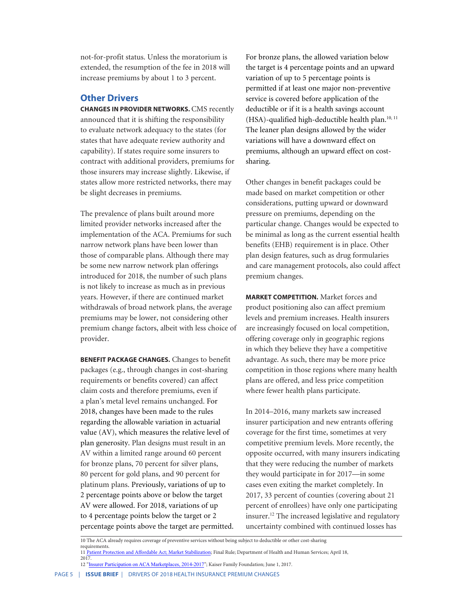not-for-profit status. Unless the moratorium is extended, the resumption of the fee in 2018 will increase premiums by about 1 to 3 percent.

### **Other Drivers**

**CHANGES IN PROVIDER NETWORKS. CMS recently** announced that it is shifting the responsibility to evaluate network adequacy to the states (for states that have adequate review authority and capability). If states require some insurers to contract with additional providers, premiums for those insurers may increase slightly. Likewise, if states allow more restricted networks, there may be slight decreases in premiums.

The prevalence of plans built around more limited provider networks increased after the implementation of the ACA. Premiums for such narrow network plans have been lower than those of comparable plans. Although there may be some new narrow network plan offerings introduced for 2018, the number of such plans is not likely to increase as much as in previous years. However, if there are continued market withdrawals of broad network plans, the average premiums may be lower, not considering other premium change factors, albeit with less choice of provider.

**BENEFIT PACKAGE CHANGES.** Changes to benefit packages (e.g., through changes in cost-sharing requirements or benefits covered) can affect claim costs and therefore premiums, even if a plan's metal level remains unchanged. For 2018, changes have been made to the rules regarding the allowable variation in actuarial value (AV), which measures the relative level of plan generosity. Plan designs must result in an AV within a limited range around 60 percent for bronze plans, 70 percent for silver plans, 80 percent for gold plans, and 90 percent for platinum plans. Previously, variations of up to 2 percentage points above or below the target AV were allowed. For 2018, variations of up to 4 percentage points below the target or 2 percentage points above the target are permitted. For bronze plans, the allowed variation below the target is 4 percentage points and an upward variation of up to 5 percentage points is permitted if at least one major non-preventive service is covered before application of the deductible or if it is a health savings account (HSA)-qualified high-deductible health plan.<sup>10, 11</sup> The leaner plan designs allowed by the wider variations will have a downward effect on premiums, although an upward effect on costsharing.

Other changes in benefit packages could be made based on market competition or other considerations, putting upward or downward pressure on premiums, depending on the particular change. Changes would be expected to be minimal as long as the current essential health benefits (EHB) requirement is in place. Other plan design features, such as drug formularies and care management protocols, also could affect premium changes.

**MARKET COMPETITION.** Market forces and product positioning also can affect premium levels and premium increases. Health insurers are increasingly focused on local competition, offering coverage only in geographic regions in which they believe they have a competitive advantage. As such, there may be more price competition in those regions where many health plans are offered, and less price competition where fewer health plans participate.

In 2014–2016, many markets saw increased insurer participation and new entrants offering coverage for the first time, sometimes at very competitive premium levels. More recently, the opposite occurred, with many insurers indicating that they were reducing the number of markets they would participate in for 2017—in some cases even exiting the market completely. In 2017, 33 percent of counties (covering about 21 percent of enrollees) have only one participating insurer.<sup>1</sup><sup>2</sup> The increased legislative and regulatory uncertainty combined with continued losses has

<sup>10</sup> The ACA already requires coverage of preventive services without being subject to deductible or other cost-sharing requirements

<sup>11</sup> [Patient Protection and Affordable Act; Market Stabilization](https://www.gpo.gov/fdsys/pkg/FR-2017-04-18/pdf/2017-07712.pdf); Final Rule; Department of Health and Human Services; April 18,

 $2017$ 12 "[Insurer Participation on ACA Marketplaces, 2014-2017](http://www.kff.org/health-reform/issue-brief/insurer-participation-on-aca-marketplaces-2014-2017/)"; Kaiser Family Foundation; June 1, 2017.

PAGE 5 | ISSUE BRIEF | DRIVERS OF 2018 HEALTH INSURANCE PREMIUM CHANGES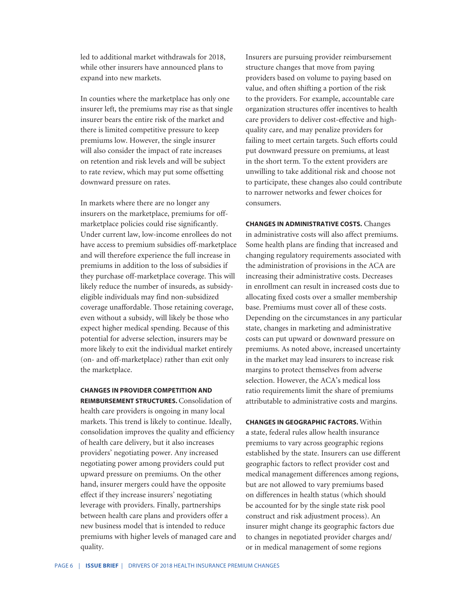led to additional market withdrawals for 2018, while other insurers have announced plans to expand into new markets.

In counties where the marketplace has only one insurer left, the premiums may rise as that single insurer bears the entire risk of the market and there is limited competitive pressure to keep premiums low. However, the single insurer will also consider the impact of rate increases on retention and risk levels and will be subject to rate review, which may put some offsetting downward pressure on rates.

In markets where there are no longer any insurers on the marketplace, premiums for offmarketplace policies could rise significantly. Under current law, low-income enrollees do not have access to premium subsidies off-marketplace and will therefore experience the full increase in premiums in addition to the loss of subsidies if they purchase off-marketplace coverage. This will likely reduce the number of insureds, as subsidyeligible individuals may find non-subsidized coverage unaffordable. Those retaining coverage, even without a subsidy, will likely be those who expect higher medical spending. Because of this potential for adverse selection, insurers may be more likely to exit the individual market entirely (on- and off-marketplace) rather than exit only the marketplace.

**CHANGES IN PROVIDER COMPETITION AND REIMBURSEMENT STRUCTURES.** Consolidation of health care providers is ongoing in many local markets. This trend is likely to continue. Ideally, consolidation improves the quality and efficiency of health care delivery, but it also increases providers' negotiating power. Any increased negotiating power among providers could put upward pressure on premiums. On the other hand, insurer mergers could have the opposite effect if they increase insurers' negotiating leverage with providers. Finally, partnerships between health care plans and providers offer a new business model that is intended to reduce premiums with higher levels of managed care and quality.

Insurers are pursuing provider reimbursement structure changes that move from paying providers based on volume to paying based on value, and often shifting a portion of the risk to the providers. For example, accountable care organization structures offer incentives to health care providers to deliver cost-effective and highquality care, and may penalize providers for failing to meet certain targets. Such efforts could put downward pressure on premiums, at least in the short term. To the extent providers are unwilling to take additional risk and choose not to participate, these changes also could contribute to narrower networks and fewer choices for consumers.

**CHANGES IN ADMINISTRATIVE COSTS.** Changes in administrative costs will also affect premiums. Some health plans are finding that increased and changing regulatory requirements associated with the administration of provisions in the ACA are increasing their administrative costs. Decreases in enrollment can result in increased costs due to allocating fixed costs over a smaller membership base. Premiums must cover all of these costs. Depending on the circumstances in any particular state, changes in marketing and administrative costs can put upward or downward pressure on premiums. As noted above, increased uncertainty in the market may lead insurers to increase risk margins to protect themselves from adverse selection. However, the ACA's medical loss ratio requirements limit the share of premiums attributable to administrative costs and margins.

**CHANGES IN GEOGRAPHIC FACTORS.** Within a state, federal rules allow health insurance premiums to vary across geographic regions established by the state. Insurers can use different geographic factors to reflect provider cost and medical management differences among regions, but are not allowed to vary premiums based on differences in health status (which should be accounted for by the single state risk pool construct and risk adjustment process). An insurer might change its geographic factors due to changes in negotiated provider charges and/ or in medical management of some regions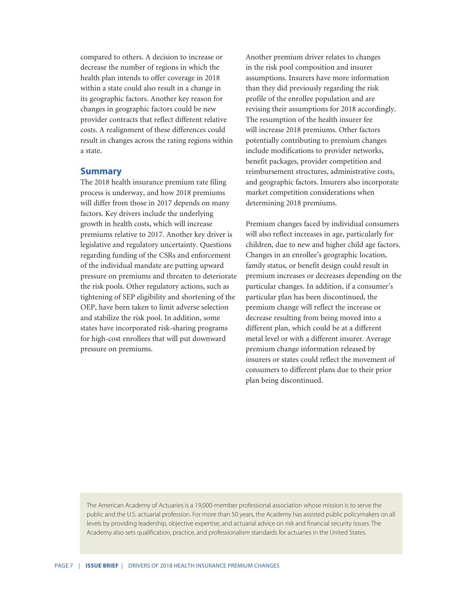compared to others. A decision to increase or decrease the number of regions in which the health plan intends to offer coverage in 2018 within a state could also result in a change in its geographic factors. Another key reason for changes in geographic factors could be new provider contracts that reflect different relative costs. A realignment of these differences could result in changes across the rating regions within a state.

### **Summary**

The 2018 health insurance premium rate filing process is underway, and how 2018 premiums will differ from those in 2017 depends on many factors. Key drivers include the underlying growth in health costs, which will increase premiums relative to 2017. Another key driver is legislative and regulatory uncertainty. Questions regarding funding of the CSRs and enforcement of the individual mandate are putting upward pressure on premiums and threaten to deteriorate the risk pools. Other regulatory actions, such as tightening of SEP eligibility and shortening of the OEP, have been taken to limit adverse selection and stabilize the risk pool. In addition, some states have incorporated risk-sharing programs for high-cost enrollees that will put downward pressure on premiums.

Another premium driver relates to changes in the risk pool composition and insurer assumptions. Insurers have more information than they did previously regarding the risk profile of the enrollee population and are revising their assumptions for 2018 accordingly. The resumption of the health insurer fee will increase 2018 premiums. Other factors potentially contributing to premium changes include modifications to provider networks, benefit packages, provider competition and reimbursement structures, administrative costs, and geographic factors. Insurers also incorporate market competition considerations when determining 2018 premiums.

Premium changes faced by individual consumers will also reflect increases in age, particularly for children, due to new and higher child age factors. Changes in an enrollee's geographic location, family status, or benefit design could result in premium increases or decreases depending on the particular changes. In addition, if a consumer's particular plan has been discontinued, the premium change will reflect the increase or decrease resulting from being moved into a different plan, which could be at a different metal level or with a different insurer. Average premium change information released by insurers or states could reflect the movement of consumers to different plans due to their prior plan being discontinued.

The American Academy of Actuaries is a 19,000-member professional association whose mission is to serve the public and the U.S. actuarial profession. For more than 50 years, the Academy has assisted public policymakers on all levels by providing leadership, objective expertise, and actuarial advice on risk and financial security issues. The Academy also sets qualification, practice, and professionalism standards for actuaries in the United States.